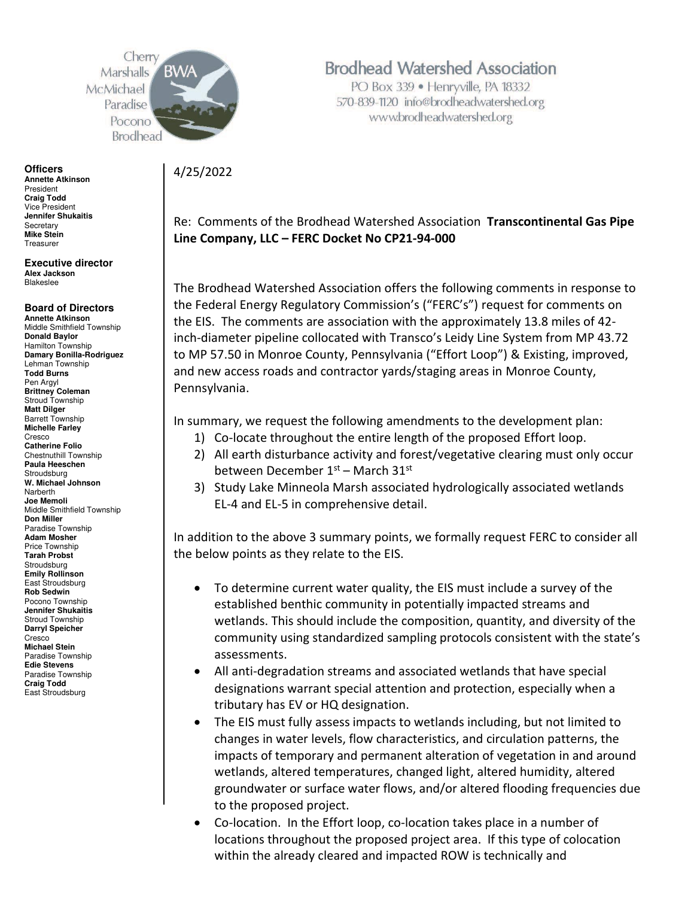Cherr Marshalls McMichael Paradise Pocono **Brodhead** 

**Officers Annette Atkinson**  President **Craig Todd**  Vice President **Jennifer Shukaitis Secretary Mike Stein**  Treasurer

**Executive director Alex Jackson**  Blakeslee

#### **Board of Directors**

**Annette Atkinson**  Middle Smithfield Township **Donald Baylor**  Hamilton Township **Damary Bonilla-Rodriguez**  Lehman Township **Todd Burns**  Pen Argyl **Brittney Coleman**  Stroud Township **Matt Dilger**  Barrett Township **Michelle Farley**  Cresco **Catherine Folio**  Chestnuthill Township **Paula Heeschen Stroudsburg W. Michael Johnson Narberth Joe Memoli**  Middle Smithfield Township **Don Miller**  Paradise Township **Adam Mosher**  Price Township **Tarah Probst**  Stroudsburg **Emily Rollinson**  East Stroudsburg **Rob Sedwin**  Pocono Township **Jennifer Shukaitis**  Stroud Township **Darryl Speicher**  Cresco **Michael Stein**  Paradise Township **Edie Stevens**  Paradise Township **Craig Todd**  East Stroudsburg

#### **Brodhead Watershed Association**

PO Box 339 · Henryville, PA 18332 570-839-1120 info@brodheadwatershed.org www.brodheadwatershed.org

4/25/2022

Re: Comments of the Brodhead Watershed Association **Transcontinental Gas Pipe Line Company, LLC – FERC Docket No CP21-94-000**

The Brodhead Watershed Association offers the following comments in response to the Federal Energy Regulatory Commission's ("FERC's") request for comments on the EIS. The comments are association with the approximately 13.8 miles of 42 inch-diameter pipeline collocated with Transco's Leidy Line System from MP 43.72 to MP 57.50 in Monroe County, Pennsylvania ("Effort Loop") & Existing, improved, and new access roads and contractor yards/staging areas in Monroe County, Pennsylvania.

In summary, we request the following amendments to the development plan:

- 1) Co-locate throughout the entire length of the proposed Effort loop.
- 2) All earth disturbance activity and forest/vegetative clearing must only occur between December 1st – March 31st
- 3) Study Lake Minneola Marsh associated hydrologically associated wetlands EL-4 and EL-5 in comprehensive detail.

In addition to the above 3 summary points, we formally request FERC to consider all the below points as they relate to the EIS.

- To determine current water quality, the EIS must include a survey of the established benthic community in potentially impacted streams and wetlands. This should include the composition, quantity, and diversity of the community using standardized sampling protocols consistent with the state's assessments.
- All anti-degradation streams and associated wetlands that have special designations warrant special attention and protection, especially when a tributary has EV or HQ designation.
- The EIS must fully assess impacts to wetlands including, but not limited to changes in water levels, flow characteristics, and circulation patterns, the impacts of temporary and permanent alteration of vegetation in and around wetlands, altered temperatures, changed light, altered humidity, altered groundwater or surface water flows, and/or altered flooding frequencies due to the proposed project.
- Co-location. In the Effort loop, co-location takes place in a number of locations throughout the proposed project area. If this type of colocation within the already cleared and impacted ROW is technically and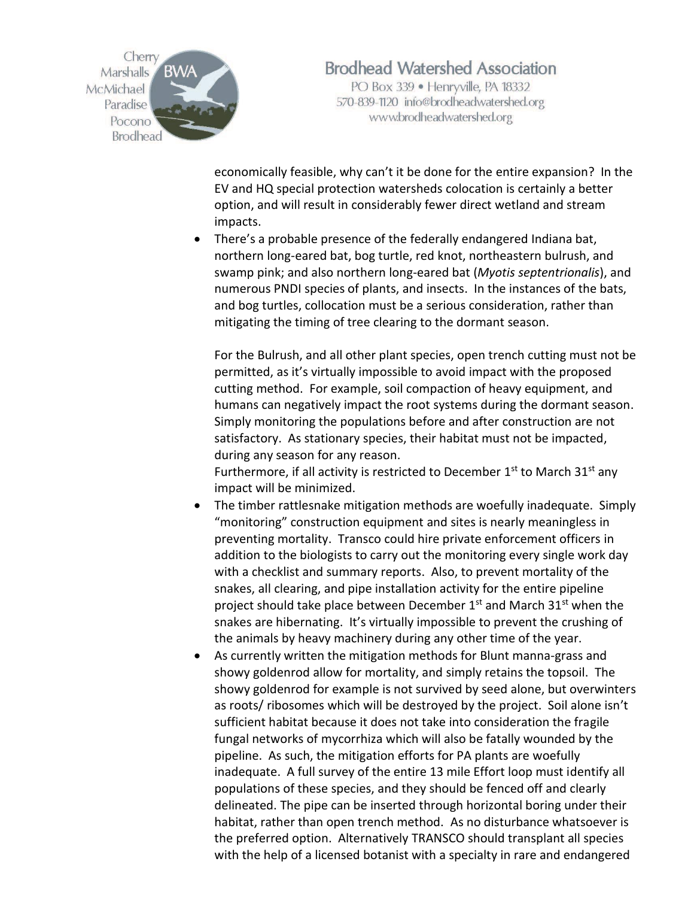

PO Box 339 · Henryville, PA 18332 570-839-1120 info@brodheadwatershed.org www.brodheadwatershed.org

economically feasible, why can't it be done for the entire expansion? In the EV and HQ special protection watersheds colocation is certainly a better option, and will result in considerably fewer direct wetland and stream impacts.

• There's a probable presence of the federally endangered Indiana bat, northern long-eared bat, bog turtle, red knot, northeastern bulrush, and swamp pink; and also northern long‐eared bat (*Myotis septentrionalis*), and numerous PNDI species of plants, and insects. In the instances of the bats, and bog turtles, collocation must be a serious consideration, rather than mitigating the timing of tree clearing to the dormant season.

For the Bulrush, and all other plant species, open trench cutting must not be permitted, as it's virtually impossible to avoid impact with the proposed cutting method. For example, soil compaction of heavy equipment, and humans can negatively impact the root systems during the dormant season. Simply monitoring the populations before and after construction are not satisfactory. As stationary species, their habitat must not be impacted, during any season for any reason.

Furthermore, if all activity is restricted to December  $1<sup>st</sup>$  to March 31 $<sup>st</sup>$  any</sup> impact will be minimized.

- The timber rattlesnake mitigation methods are woefully inadequate. Simply "monitoring" construction equipment and sites is nearly meaningless in preventing mortality. Transco could hire private enforcement officers in addition to the biologists to carry out the monitoring every single work day with a checklist and summary reports. Also, to prevent mortality of the snakes, all clearing, and pipe installation activity for the entire pipeline project should take place between December 1<sup>st</sup> and March 31<sup>st</sup> when the snakes are hibernating. It's virtually impossible to prevent the crushing of the animals by heavy machinery during any other time of the year.
- As currently written the mitigation methods for Blunt manna-grass and showy goldenrod allow for mortality, and simply retains the topsoil. The showy goldenrod for example is not survived by seed alone, but overwinters as roots/ ribosomes which will be destroyed by the project. Soil alone isn't sufficient habitat because it does not take into consideration the fragile fungal networks of mycorrhiza which will also be fatally wounded by the pipeline. As such, the mitigation efforts for PA plants are woefully inadequate. A full survey of the entire 13 mile Effort loop must identify all populations of these species, and they should be fenced off and clearly delineated. The pipe can be inserted through horizontal boring under their habitat, rather than open trench method. As no disturbance whatsoever is the preferred option. Alternatively TRANSCO should transplant all species with the help of a licensed botanist with a specialty in rare and endangered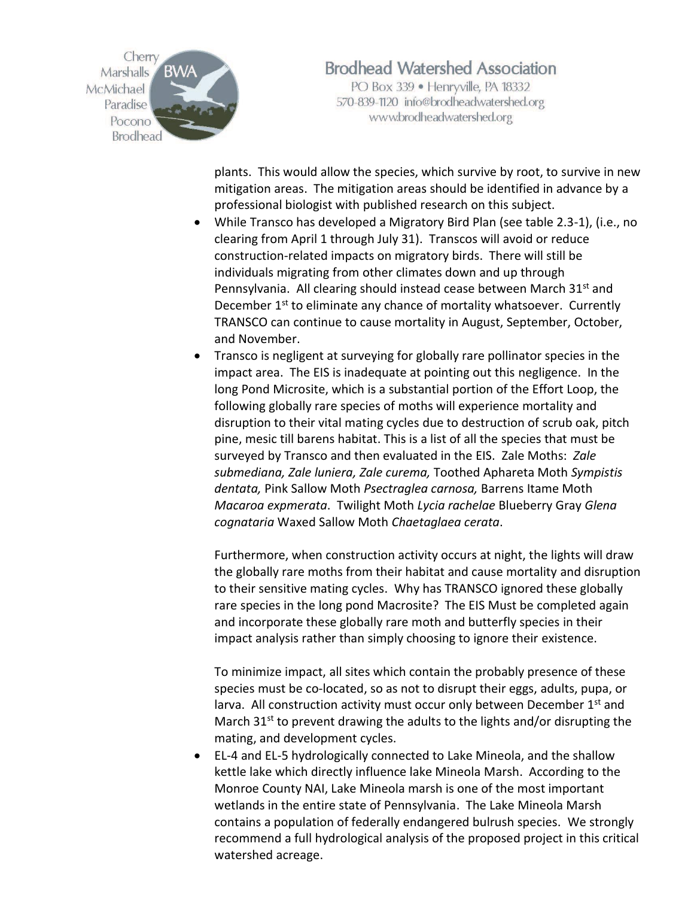

PO Box 339 · Henryville, PA 18332 570-839-1120 info@brodheadwatershed.org www.brodheadwatershed.org

plants. This would allow the species, which survive by root, to survive in new mitigation areas. The mitigation areas should be identified in advance by a professional biologist with published research on this subject.

- While Transco has developed a Migratory Bird Plan (see table 2.3-1), (i.e., no clearing from April 1 through July 31). Transcos will avoid or reduce construction-related impacts on migratory birds. There will still be individuals migrating from other climates down and up through Pennsylvania. All clearing should instead cease between March 31<sup>st</sup> and December 1<sup>st</sup> to eliminate any chance of mortality whatsoever. Currently TRANSCO can continue to cause mortality in August, September, October, and November.
- Transco is negligent at surveying for globally rare pollinator species in the impact area. The EIS is inadequate at pointing out this negligence. In the long Pond Microsite, which is a substantial portion of the Effort Loop, the following globally rare species of moths will experience mortality and disruption to their vital mating cycles due to destruction of scrub oak, pitch pine, mesic till barens habitat. This is a list of all the species that must be surveyed by Transco and then evaluated in the EIS. Zale Moths: *Zale submediana, Zale luniera, Zale curema,* Toothed Aphareta Moth *Sympistis dentata,* Pink Sallow Moth *Psectraglea carnosa,* Barrens Itame Moth *Macaroa expmerata*. Twilight Moth *Lycia rachelae* Blueberry Gray *Glena cognataria* Waxed Sallow Moth *Chaetaglaea cerata*.

Furthermore, when construction activity occurs at night, the lights will draw the globally rare moths from their habitat and cause mortality and disruption to their sensitive mating cycles. Why has TRANSCO ignored these globally rare species in the long pond Macrosite? The EIS Must be completed again and incorporate these globally rare moth and butterfly species in their impact analysis rather than simply choosing to ignore their existence.

To minimize impact, all sites which contain the probably presence of these species must be co-located, so as not to disrupt their eggs, adults, pupa, or larva. All construction activity must occur only between December 1<sup>st</sup> and March  $31^{st}$  to prevent drawing the adults to the lights and/or disrupting the mating, and development cycles.

• EL-4 and EL-5 hydrologically connected to Lake Mineola, and the shallow kettle lake which directly influence lake Mineola Marsh. According to the Monroe County NAI, Lake Mineola marsh is one of the most important wetlands in the entire state of Pennsylvania. The Lake Mineola Marsh contains a population of federally endangered bulrush species. We strongly recommend a full hydrological analysis of the proposed project in this critical watershed acreage.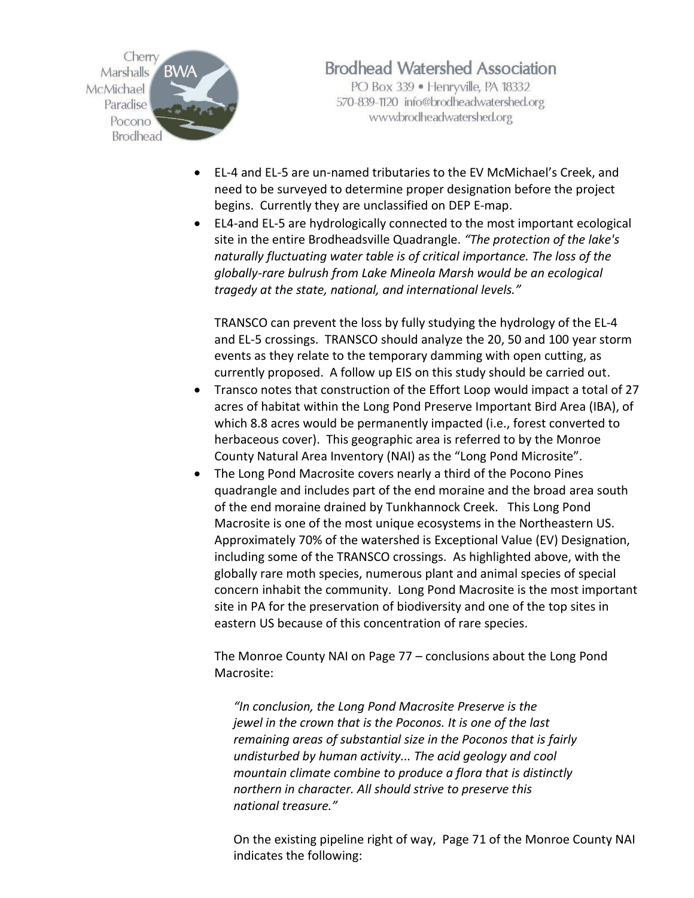

PO Box 339 · Henryville, PA 18332 570-839-1120 info@brodheadwatershed.org www.brodheadwatershed.org

- EL-4 and EL-5 are un-named tributaries to the EV McMichael's Creek, and need to be surveyed to determine proper designation before the project begins. Currently they are unclassified on DEP E-map.
- EL4-and EL-5 are hydrologically connected to the most important ecological site in the entire Brodheadsville Quadrangle. *"The protection of the lake's naturally fluctuating water table is of critical importance. The loss of the globally-rare bulrush from Lake Mineola Marsh would be an ecological tragedy at the state, national, and international levels."*

TRANSCO can prevent the loss by fully studying the hydrology of the EL-4 and EL-5 crossings. TRANSCO should analyze the 20, 50 and 100 year storm events as they relate to the temporary damming with open cutting, as currently proposed. A follow up EIS on this study should be carried out.

- Transco notes that construction of the Effort Loop would impact a total of 27 acres of habitat within the Long Pond Preserve Important Bird Area (IBA), of which 8.8 acres would be permanently impacted (i.e., forest converted to herbaceous cover). This geographic area is referred to by the Monroe County Natural Area Inventory (NAI) as the "Long Pond Microsite".
- The Long Pond Macrosite covers nearly a third of the Pocono Pines quadrangle and includes part of the end moraine and the broad area south of the end moraine drained by Tunkhannock Creek. This Long Pond Macrosite is one of the most unique ecosystems in the Northeastern US. Approximately 70% of the watershed is Exceptional Value (EV) Designation, including some of the TRANSCO crossings. As highlighted above, with the globally rare moth species, numerous plant and animal species of special concern inhabit the community. Long Pond Macrosite is the most important site in PA for the preservation of biodiversity and one of the top sites in eastern US because of this concentration of rare species.

The Monroe County NAI on Page 77 – conclusions about the Long Pond Macrosite:

*"In conclusion, the Long Pond Macrosite Preserve is the jewel in the crown that is the Poconos. It is one of the last remaining areas of substantial size in the Poconos that is fairly undisturbed by human activity... The acid geology and cool mountain climate combine to produce a flora that is distinctly northern in character. All should strive to preserve this national treasure."*

On the existing pipeline right of way, Page 71 of the Monroe County NAI indicates the following: